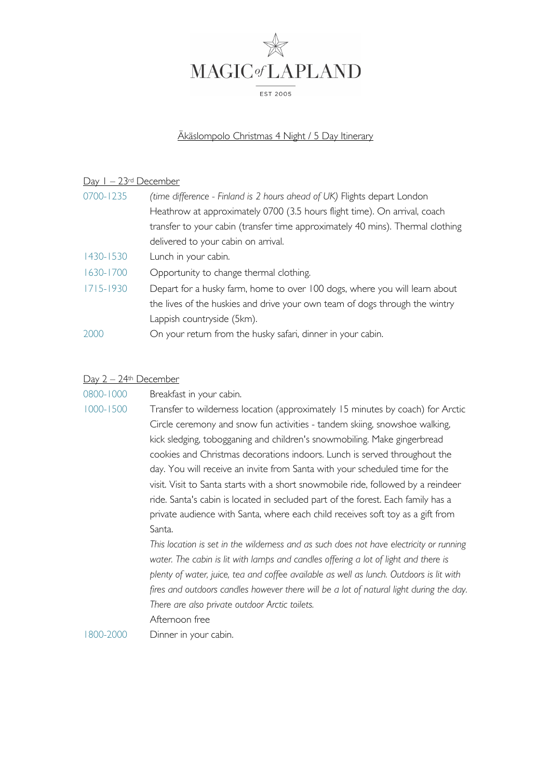

## Äkäslompolo Christmas 4 Night / 5 Day Itinerary

## Day 1 – 23rd December

| 0700-1235     | (time difference - Finland is 2 hours ahead of UK) Flights depart London       |
|---------------|--------------------------------------------------------------------------------|
|               | Heathrow at approximately 0700 (3.5 hours flight time). On arrival, coach      |
|               | transfer to your cabin (transfer time approximately 40 mins). Thermal clothing |
|               | delivered to your cabin on arrival.                                            |
| 1430-1530     | Lunch in your cabin.                                                           |
| 1630-1700     | Opportunity to change thermal clothing.                                        |
| $1715 - 1930$ | Depart for a husky farm, home to over 100 dogs, where you will learn about     |
|               | the lives of the huskies and drive your own team of dogs through the wintry    |
|               | Lappish countryside (5km).                                                     |
| 2000          | On your return from the husky safari, dinner in your cabin.                    |

#### Day 2 – 24th December

| 1000-1500 | Transfer to wilderness location (approximately 15 minutes by coach) for Arctic    |
|-----------|-----------------------------------------------------------------------------------|
|           | Circle ceremony and snow fun activities - tandem skiing, snowshoe walking,        |
|           | kick sledging, tobogganing and children's snowmobiling. Make gingerbread          |
|           | cookies and Christmas decorations indoors. Lunch is served throughout the         |
|           | day. You will receive an invite from Santa with your scheduled time for the       |
|           | visit. Visit to Santa starts with a short snowmobile ride, followed by a reindeer |
|           | ride. Santa's cabin is located in secluded part of the forest. Each family has a  |
|           | private audience with Santa, where each child receives soft toy as a gift from    |
|           | Santa.                                                                            |

*This location is set in the wilderness and as such does not have electricity or running*  water. The cabin is lit with lamps and candles offering a lot of light and there is *plenty of water, juice, tea and coffee available as well as lunch. Outdoors is lit with fires and outdoors candles however there will be a lot of natural light during the day. There are also private outdoor Arctic toilets.*  Afternoon free

1800-2000 Dinner in your cabin.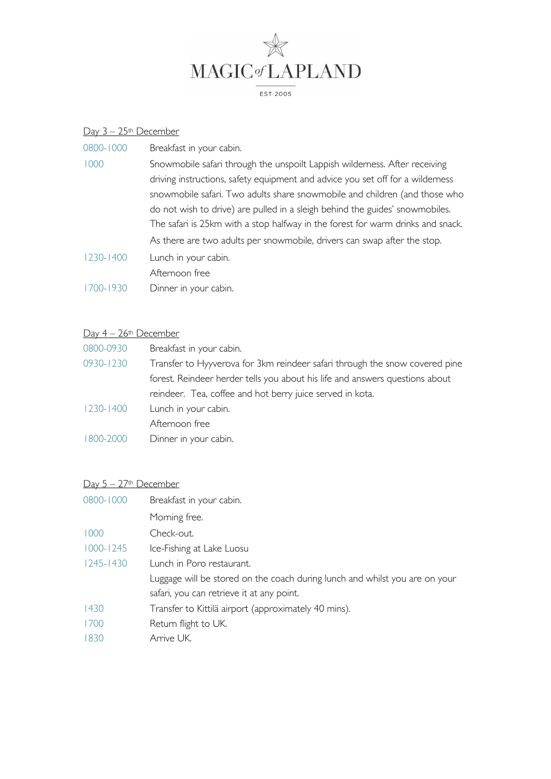

## Day 3 – 25th December

| 0800-1000     | Breakfast in your cabin.                                                        |
|---------------|---------------------------------------------------------------------------------|
| 1000          | Snowmobile safari through the unspoilt Lappish wilderness. After receiving      |
|               | driving instructions, safety equipment and advice you set off for a wilderness  |
|               | snowmobile safari. Two adults share snowmobile and children (and those who      |
|               | do not wish to drive) are pulled in a sleigh behind the guides' snowmobiles.    |
|               | The safari is 25km with a stop halfway in the forest for warm drinks and snack. |
|               | As there are two adults per snowmobile, drivers can swap after the stop.        |
| $1230 - 1400$ | Lunch in your cabin.                                                            |
|               | Afternoon free                                                                  |
| 1700-1930     | Dinner in your cabin.                                                           |
|               |                                                                                 |

## Day 4 - 26th December

| 0800-0930     | Breakfast in your cabin.                                                     |
|---------------|------------------------------------------------------------------------------|
| 0930-1230     | Transfer to Hyyverova for 3km reindeer safari through the snow covered pine  |
|               | forest. Reindeer herder tells you about his life and answers questions about |
|               | reindeer. Tea, coffee and hot berry juice served in kota.                    |
| $1230 - 1400$ | Lunch in your cabin.                                                         |
|               | Afternoon free                                                               |
| 1800-2000     | Dinner in your cabin.                                                        |

# Day 5 – 27th December

| 0800-1000     | Breakfast in your cabin.                                                    |
|---------------|-----------------------------------------------------------------------------|
|               | Morning free.                                                               |
| 1000          | Check-out.                                                                  |
| $1000 - 1245$ | Ice-Fishing at Lake Luosu                                                   |
| $1245 - 1430$ | Lunch in Poro restaurant.                                                   |
|               | Luggage will be stored on the coach during lunch and whilst you are on your |
|               | safari, you can retrieve it at any point.                                   |
| 1430          | Transfer to Kittilä airport (approximately 40 mins).                        |
| 1700          | Return flight to UK.                                                        |
| 1830          | Arrive UK.                                                                  |
|               |                                                                             |